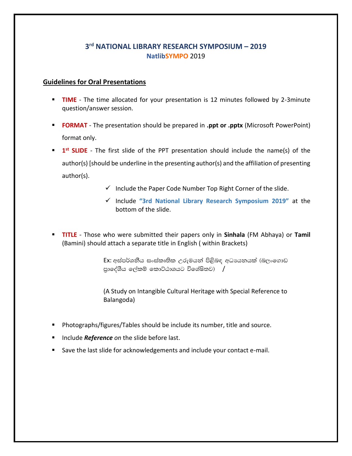## **3 rd NATIONAL LIBRARY RESEARCH SYMPOSIUM – 2019 NatlibSYMPO** 2019

## **Guidelines for Oral Presentations**

- **TIME** The time allocated for your presentation is 12 minutes followed by 2-3minute question/answer session.
- **FORMAT** The presentation should be prepared in **.ppt or .pptx** (Microsoft PowerPoint) format only.
- **1 1**<sup>st</sup> **SLIDE** The first slide of the PPT presentation should include the name(s) of the author(s) [should be underline in the presenting author(s) and the affiliation of presenting author(s).
	- $\checkmark$  Include the Paper Code Number Top Right Corner of the slide.
	- ✓ Include **"3rd National Library Research Symposium 2019"** at the bottom of the slide.
- **TITLE** Those who were submitted their papers only in **Sinhala** (FM Abhaya) or **Tamil** (Bamini) should attach a separate title in English ( within Brackets)

Ex: අස්පර්ශනීය සංස්කෘතික උරුමයන් පිළිබඳ අධායනයක් (බලංගොඩ පාලේශීය ලේකම් කොට්ඨාශයට විශේෂිතව)  $/$ 

(A Study on Intangible Cultural Heritage with Special Reference to Balangoda)

- Photographs/figures/Tables should be include its number, title and source.
- Include *Reference* on the slide before last.
- Save the last slide for acknowledgements and include your contact e-mail.